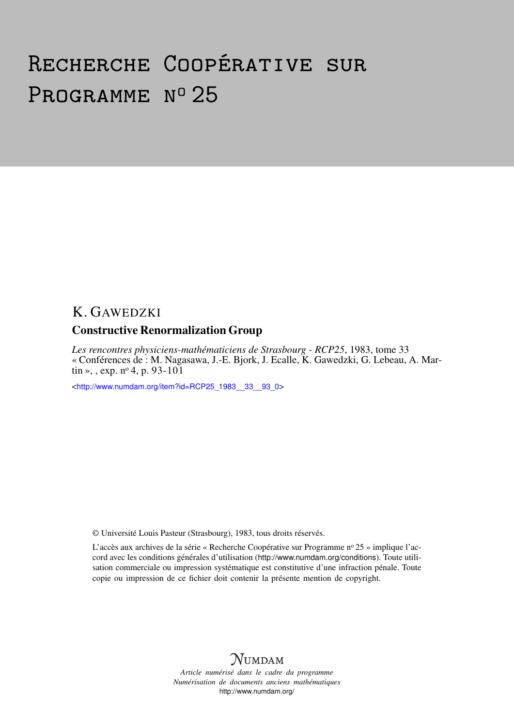# Recherche Coopérative sur PROGRAMME Nº 25

## K. GAWEDZKI

### Constructive Renormalization Group

*Les rencontres physiciens-mathématiciens de Strasbourg - RCP25*, 1983, tome 33 « Conférences de : M. Nagasawa, J.-E. Bjork, J. Ecalle, K. Gawedzki, G. Lebeau, A. Martin », , exp.  $n^{\circ}$  4, p. 93-101

<[http://www.numdam.org/item?id=RCP25\\_1983\\_\\_33\\_\\_93\\_0](http://www.numdam.org/item?id=RCP25_1983__33__93_0)>

© Université Louis Pasteur (Strasbourg), 1983, tous droits réservés.

L'accès aux archives de la série « Recherche Coopérative sur Programme nº 25 » implique l'accord avec les conditions générales d'utilisation (<http://www.numdam.org/conditions>). Toute utilisation commerciale ou impression systématique est constitutive d'une infraction pénale. Toute copie ou impression de ce fichier doit contenir la présente mention de copyright.



*Article numérisé dans le cadre du programme Numérisation de documents anciens mathématiques* <http://www.numdam.org/>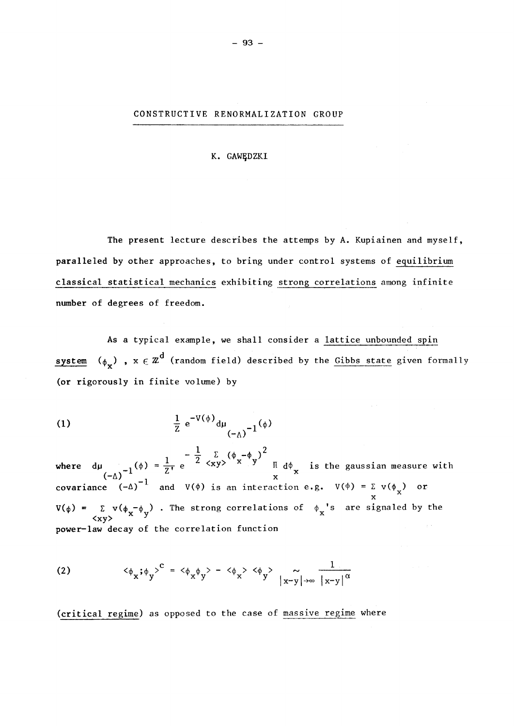#### CONSTRUCTIVE RENORMALIZATION GROUP

K. GAWEDZKI

The present lecture describes the attemps by A. Kupiainen and myself, paralleled by other approaches, to bring under control Systems of equilibrium classical statistical mechanics exhibiting strong correlations among infinite number of degrees of freedom.

As a typical example, we shall consider a lattice unbounded spin system ( $\phi_{\mathbf{v}}$ ) ,  $\mathbf{x} \in \mathbb{Z}^{\mathbf{G}}$  (random field) described by the Gibbs state given formally (or rigorously in finite volume) by

(1) 
$$
\frac{1}{Z} e^{-V(\phi)} d\mu_{(-\Lambda)}^{-1}(\phi)
$$

 $-\frac{1}{2}$   $\Sigma$   $(\phi - \phi)$ <sup>2</sup> where  $d\mu$  *.* ( $\phi$ ) =  $\frac{1}{7}$  e <sup>2</sup>  $\langle xy \rangle$  <sup>x</sup> <sup>y</sup>  $\pi$   $d\phi$  is the gaussian measure with  $(-\Delta)^{-1}$   $\qquad \qquad$  x covariance  $(-\Delta)^{-1}$  and  $V(\phi)$  is an interaction e.g.  $V(\phi) = \Sigma V(\phi_{v})$  or χ (φ) =  $\sum x(y(\phi_x - \phi_y))$ . The strong correlations of  $\phi_x$ 's are signaled by the  $\langle xy \rangle$ power-law decay of the correlation function

(2) 
$$
\langle \phi_x; \phi_y \rangle^C = \langle \phi_x \phi_y \rangle - \langle \phi_x \rangle \langle \phi_y \rangle - \frac{1}{|x-y|} \frac{1}{|x-y|^\alpha}
$$

*J J J* jx-yj**-^oo** |x-y| (critical regime) as opposed to the case of massive regime where

- 93 -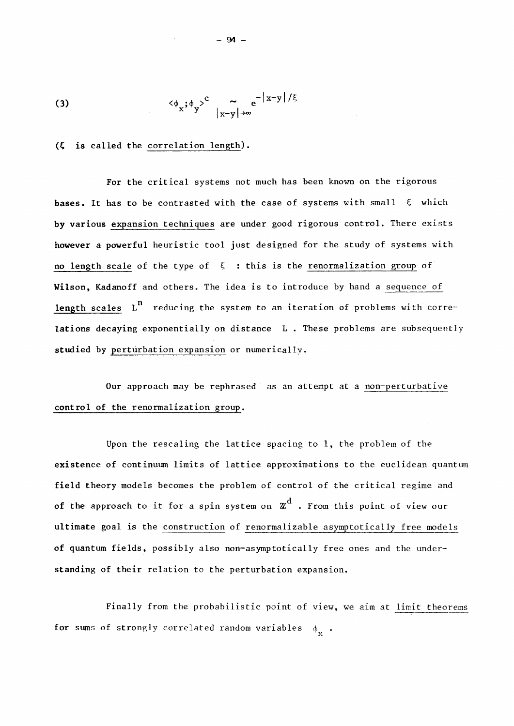(3) 
$$
\langle \phi_x; \phi_y \rangle^c \sim e^{-|x-y|/\xi}
$$

#### **( is called the** corrélation length).

For the critical systems not much has been known on the rigorous **bases.** It has to be contrasted with the case of systems with small  $\xi$  which **by** various expansion techniques are under good rigorous control. There exists however a powerful heuristic tool just designed for the study of systems with **no** length scale of the type of  $\xi$  : this is the renormalization group of Wilson, Kadanoff and others. The idea is to introduce by hand a sequence of length scales L<sup>n</sup> reducing the system to an iteration of problems with correlations decaying exponentially on distance L. These problems are subsequently **studied** by perturbation expansion or numerically.

Our approach may be rephrased as an attempt at a non-perturbative **control of the** renormalization group.

Upon the rescaling the lattice spacing to 1, the problem of the existence of continuum limits of lattice approximations to the euclidean quantum field theory models becomes the problem of control of the critical regime and **of the approach to it for a spin system on**  $\mathbb{Z}^d$  **. From this point of view our** ultimate goal is the construction of renormalizable asymptotically free models **of** quantum fields, possibly also non-asymptotically free ones and the understanding of their relation **to** the perturbation expansion.

Finally from the probabilistic point of view, we aim at limit theorems for sums of strongly correlated random variables  $\phi_{\mathbf{v}}$ .

 $-94 -$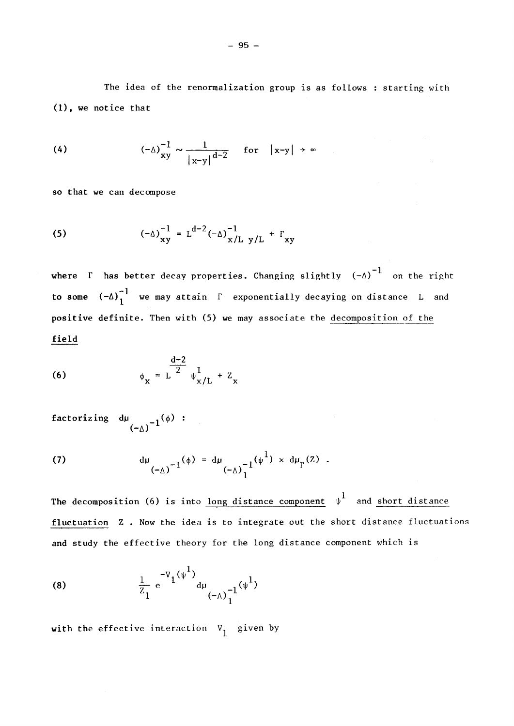The idea of the renormalization group is as follows : starting with **(1),** we notice that

(4) 
$$
(-\Delta)\frac{1}{xy} \sim \frac{1}{|x-y|^{d-2}}
$$
 for  $|x-y| \to \infty$ 

so that we can decompose

(5) 
$$
(-\Delta)^{-1}_{xy} = L^{d-2} (-\Delta)^{-1}_{x/L} y/L + F_{xy}
$$

**where** Γ has better decay properties. Changing slightly  $(-\Delta)^{-1}$  on the right **to some**  $(-\Delta)^{-1}$  we may attain  $\Gamma$  exponentially decaying on distance L and **positive definite.** Then with **(5) we** may associate the décomposition of the **field** 

(6) 
$$
\phi_{x} = L^{\frac{d-2}{2}} \psi_{x/L}^{1} + Z_{x}
$$

 $(-\Delta)$ 

(7) 
$$
d\mu_{(-\Delta)^{-1}}(\phi) = d\mu_{(-\Delta)^{-1}}(\psi^{1}) \times d\mu_{\Gamma}(Z).
$$

The decomposition (6) is into <u>long distance</u> component  $\psi^1$  and short distance fluctuation Z. Now the idea is to integrate out the short distance fluctuations and study the effective theory for the long distance component which is

(8) 
$$
\frac{1}{z_1} e^{-V_1(\psi^1)} d\mu_{(-\Delta)^{-1}_1(\psi^1)}
$$

with the effective interaction  $V_1$  given by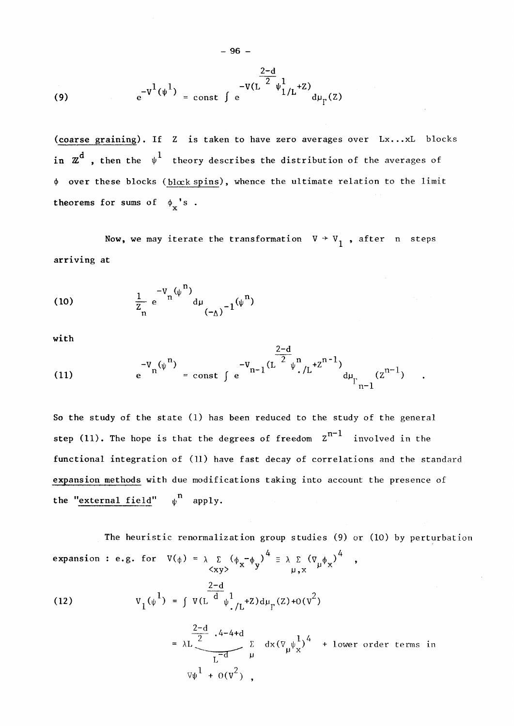(9) 
$$
e^{-V^1(\psi^1)} = \text{const} \int e^{-V(L^{\frac{2-d}{2}}\psi^1_{1/L}+Z)} d\mu_{\Gamma}(Z)
$$

- 96 -

(coarse graining). If Z is taken to have zero averages over Lx...xL blocks in  $z^d$  , then the  $\psi^1$  theory describes the distribution of the averages of  $\phi$  over these blocks (block spins), whence the ultimate relation to the limit theorems for sums of  $\phi_y$ 's.

Now, we may iterate the transformation  $V + V_1$ , after n steps arriving at

(10) 
$$
\frac{1}{Z_n} e^{-V_n(\psi^{11})} d\mu_{(-\Delta)}^{-1}(\psi^{11})
$$

with

(11) 
$$
e^{-V_n(\psi^n)} = \text{const } \int e^{-V_{n-1}(L^{\frac{2-a}{2}}\psi^n \cdot /L^{+Z^{n-1}})} d\mu_{\Gamma_{n-1}}(z^{n-1})
$$

So the study of the state (1) has been reduced to the study of the general step (11). The hope is that the degrees of freedom  $z^{n-1}$  involved in the functional integration of (11) have fast decay of correlations and the standard expansion methods with due modifications taking into account the presence of the "external field"  $\psi$ <sup>n</sup> apply.

 $2 - d$ 

The heuristic renormalization group studies (9) or (10) by perturbation expansion : e.g. for  $V(\phi) = \lambda \Sigma (\phi - \phi)$  =  $\lambda \Sigma (\nabla \phi)$  ,  $\lambda$ <sub>x</sub>y>  $\mu$ ,  $\lambda$ 

(12) 
$$
v_1(\psi^1) = \int v(L \frac{2-d}{d} \psi^1_{.}/L^{+}z) d\mu_{\Gamma}(z) + o(v^2)
$$

$$
= \lambda L \frac{\frac{2-d}{2} \cdot 4 - 4 + d}{L-d} \sum_{\mu} dx (\nabla_{\mu} \psi_{\chi}^{1})^{4} + 1 \text{over order terms in}
$$
  

$$
\nabla \psi^{1} + O(V^{2}),
$$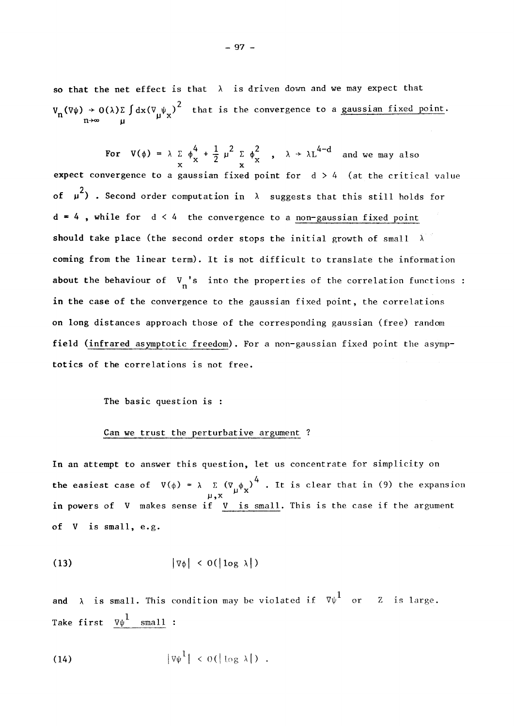so that the net effect is that  $\lambda$  is driven down and we may expect that  $V_n(\nabla\psi) \to O(\lambda)\Sigma \int dx (\nabla_\psi \psi_x)^2$  that is the convergence to a <u>gaussian fixed point</u>.

**For**  $V(\phi) = \lambda \sum \phi_v^T + \frac{1}{2} \mu^2 \sum \phi_v^2$ ,  $\lambda \rightarrow \lambda L^{4-d}$  and we may also  $\mathbf{x} \quad \mathbf{x} \quad \mathbf{x} \quad \mathbf{x} \quad \mathbf{x}$ expect convergence to a gaussian fixed point for  $d > 4$  (at the critical value of  $\mu^2$ ) . Second order computation in  $\lambda$  suggests that this still holds for  $d = 4$ , while for  $d < 4$  the convergence to a non-gaussian fixed point should take place (the second exdex steps the initial execute of small coming from the linear term). It is not difficult to translate the information about the behaviour of  $V_n$ 's into the properties of the correlation functions : in the esse of the convenience to the coveries fixed paint, the courelations :  $^{\circ}$ on long distances approach those of the corresponding gaussian (free) random field (infrared asymptotic freedom). For a non-gaussian fixed point the asympfotics of the correlations is not free.

#### Can we trust the perturbative argument ?

In an attempt to answer this question, let us concentrate for simplicity on **the easiest case of**  $V(\phi) = \lambda \sum (\nabla \phi)^4$ **. It is clear that in (9) the expan 4 the easiest case of V(k)**<br> **4 the easiest case of V(k)** in (11) the expansion of each in (9) the expansion of expansion of each in (9) the expansion of the expansion of the expansion of the expansion of the expansion o *sense* if <u>*v* is</u> of V is small, e.g.

$$
\left|\nabla\phi\right| < O(\left|\log\lambda\right|)
$$

and  $\lambda$  is small. This condition may be violated if  $\nabla \psi^1$  or  $Z$  is large. Take first  $\nabla \psi^{\perp}$  small :

$$
|\nabla \psi^1| < o(|\log \lambda|) .
$$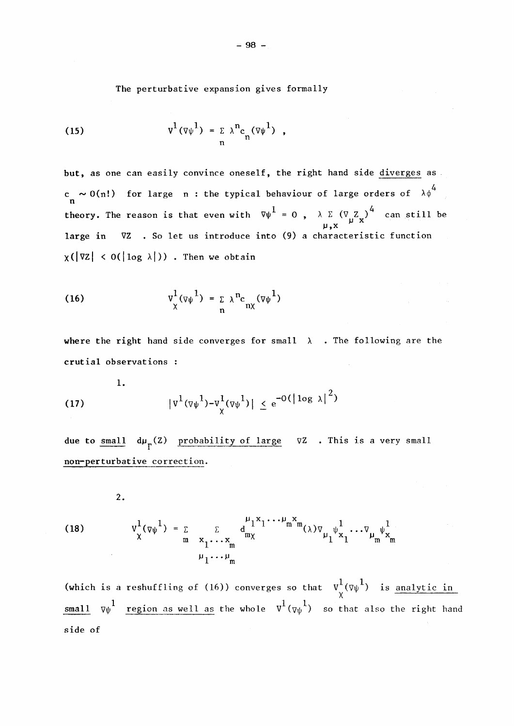The perturbative expansion gives formally

(15) 
$$
v^{1}(\overline{\nu}\psi^{1}) = \sum_{n} \lambda^{n} c_{n}(\overline{\nu}\psi^{1}),
$$

but, as one can easily convince oneself, the right hand side diverges as 4 c  $\sim$  O(n!) for large  $\,$  n : the typical behaviour of large orders of  $\,$   $\lambda\phi^{\top}$ η theory. The reason is that even with  $\nabla \psi^1 = 0$  ,  $\lambda \Sigma (\nabla Z_\nu)^4$  can still be  $\mu$ , x  $\mu$ large in large in VZ . So let us introduce into (9) a characteristic function

(16) 
$$
v_{\chi}^{1}(\overline{\nu}\psi^{1}) = \sum_{n} \lambda^{n} c_{n\chi}(\overline{\nu}\psi^{1})
$$

where the right hand side converges for small  $\lambda$ . The following are the crutial observations :

(17) 
$$
|v^1(\nabla \psi^1) - v^1_\chi(\nabla \psi^1)| \le e^{-O(|\log \lambda|^2)}
$$

due to small  $d\mu_{\Gamma}^{\text{(Z)}}$  probability of large  $\nabla Z$  . This is a very small non-perturbative correction.

**2.** 

(18) 
$$
v_{\chi}^{1}(\nu_{\psi}^{1}) = \sum_{m} \sum_{\substack{x_1 \cdots x_m \\ \mu_1 \cdots \mu_m}} d_{mx}^{\mu_1 x_1 \cdots \mu_m x_m}(\lambda) v_{\mu_1} v_{x_1}^{1} \cdots v_{\mu_m} v_{x_m}^{1}
$$

(which is a reshuffling of (16)) converges so that  $v_y^1(\nabla\psi^1)$  is <u>analytic in</u>  $\lambda$ small v région as well as well as well as well as well as well as well as well as well as well as well as well as well as well as well as well as well as well as well as well as well as well as well as well as well as well side of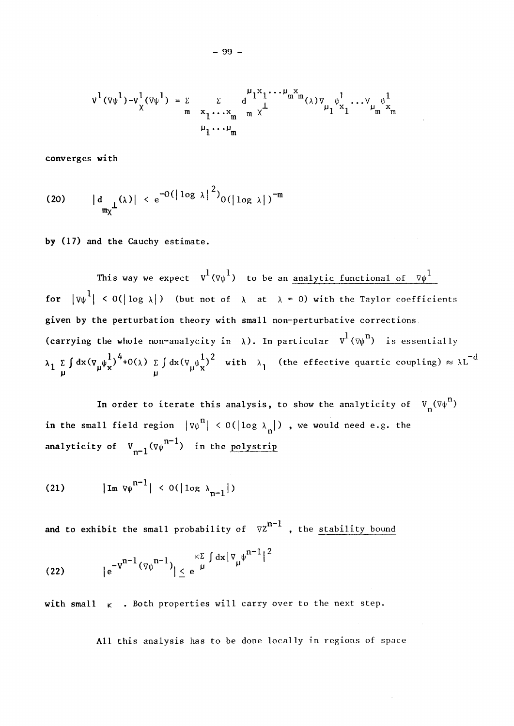$$
v^{1}(\nabla\psi^{1})-v^{1}_{\chi}(\nabla\psi^{1}) = \sum_{m} \sum_{\substack{x_1 \cdots x_m \ m \chi^{1} \ w_1 \cdots \psi_m \ w_m}} d_{1}^{u_{1}x_{1} \cdots \psi_{m}x_{m}}(\lambda) \nabla_{\mu_{1}} \psi^{1}_{x_{1}} \cdots \nabla_{\mu_{m}} \psi^{1}_{x_{m}}
$$

converges with

(20) 
$$
|d_{\text{max}}(x)| < e^{-O(|\log x|^2)} O(|\log x|)^{-m}
$$

by (17) and the Cauchy estimate.

This way we expect  $v^1(\nabla\psi^1)$  to be an analytic functional of  $\nabla\psi^1$ for  $|\nabla \psi^{\perp}| \leq O(|\log \lambda|)$  (but not of  $\lambda$  at  $\lambda = 0$ ) with the Taylor coefficients given by the perturbation theory with small non-perturbative corrections (carrying the whole non-analycity in  $\lambda$ ). In particular  $v^1(\psi^n)$  is essentially  $\int_{\mu}^{\pi} \int_{\mu}^{\pi} dx (\nabla_{\mu} \psi_{\mathbf{x}}^{\dagger})^{\dagger} + O(\lambda) \sum_{\mu} \int dx (\nabla_{\mu} \psi_{\mathbf{x}}^{\dagger})^2$  with  $\lambda_1$  (the effective quartic coupling)  $\approx \lambda L$   $\lambda$ 

In order to iterate this analysis, to show the analyticity of  $V_n(\nabla\psi^n)$ in the small field region  $|\nabla \psi^{n}| \le 0(|\log \lambda_{n}|)$  , we would need e.g. the  $n-1$  $\sum_{n=1}^{\infty}$   $\sum_{\nu=1}^{\infty}$   $\sum_{\nu=1}^{\infty}$   $\sum_{\nu=1}^{\infty}$   $\sum_{\nu=1}^{\infty}$   $\sum_{\nu=1}^{\infty}$   $\sum_{\nu=1}^{\infty}$   $\sum_{\nu=1}^{\infty}$   $\sum_{\nu=1}^{\infty}$   $\sum_{\nu=1}^{\infty}$   $\sum_{\nu=1}^{\infty}$   $\sum_{\nu=1}^{\infty}$   $\sum_{\nu=1}^{\infty}$   $\sum_{\nu=1}^{\infty}$ 

$$
(21) \t |\text{Im } \nabla \psi^{n-1}| < O(|\log \lambda_{n-1}|)
$$

 $n-1$ and to exhibit the small probability of  $v_2$ , the stability bound

(22) 
$$
|e^{-v^{n-1}(\nabla \psi^{n-1})}| \leq e^{\kappa \sum \limits_{\mu} \int dx |\nabla_{\mu} \psi^{n-1}|^2}
$$

with small  $\kappa$  . Both properties will carry over to the next step.

All this analysis has to be done locally in regions of space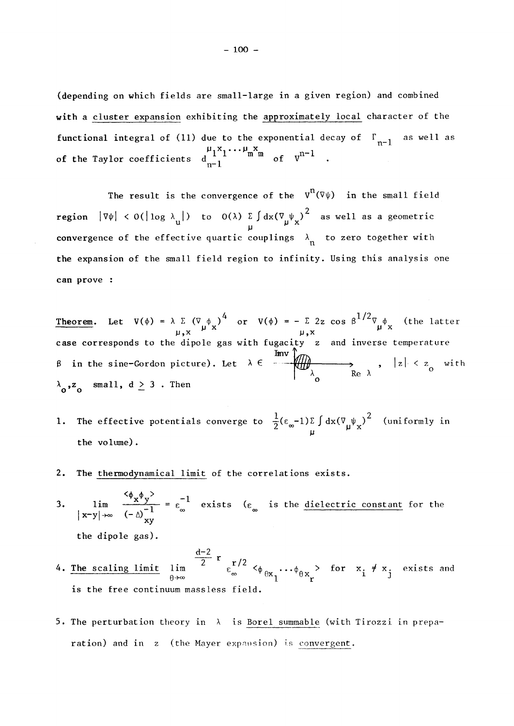(depending on which fields are small-large in a given région) and combined with a cluster expansion exhibiting the approximately local character of the functional integral of (11) due to the exponential decay of  $\Gamma_{n-1}^-$  as well as of the Taylor coefficients  $d_{n-1}$  and  $\alpha$  of V

The result is the convergence of the  $V^{n}(\nabla\psi)$  in the small field **region**  $|\nabla \psi| < O(|\log \lambda_{\mathbf{u}}|)$  to  $O(\lambda) \sum_{\mathbf{u}} \int dx (\nabla_{\mathbf{u}} \psi_{\mathbf{x}})^2$  as well as a geometric convergence of the effective quartic couplings  $\lambda_n$  to zero together with the expansion of the small field region to infinity. Using this analysis one can prove :

Theorem. Let  $V(\phi) = \lambda \sum_{\mu, x} (V_{\mu} \phi_{x})^{4}$  or  $V(\phi) = - \sum 2z \cos \beta^{1/2} \nabla_{\mu} \phi_{x}$  (the latter  $\mu, x$ case corresponds to the dipole gas with fugacity  $\,$  z $\,$  and inverse temperature  $\,$ in the sine-Gordon picture). Let  $\lambda \in \{$   $\{$   $\{$   $\{$   $\{ \} \}$   $\{$   $\}$   $\{$   $\}$   $\{$   $z \}$  with  $Re \lambda$  $z_o$  small,  $d \ge 3$ . Then

- The effective potentials converge to  $\frac{1}{2}(\epsilon_{\infty}-1)\Sigma \int dx (\nabla_{\mu}\psi_{X})^{2}$  (uniformly in 1.  $\mathbf{u}$  the effective potentials converges to  $\mathbf{u}$  (uniformly information in  $\mathbf{u}$ ) (uniformly information in  $\mathbf{u}$ ) (uniformly information in  $\mathbf{u}$ ) (uniformly information in  $\mathbf{u}$ ) (uniformly informatio
- **2.** The thermodynamical limit of the corrélations exists.
- $\frac{\varphi_{\mathbf{x}} \varphi_{\mathbf{y}}}{\cdot}$  -1  $\left(x-y\right)_{\infty}$   $\left(-\wedge\right)^{-1}$   $\infty$  entretted the distribution constant for the **-1 oo oo**   $\frac{xy}{x}$

the dipole gas).

<u>d-2</u> 2  $r/2$  $\epsilon_{\infty}$   $\varphi_{\theta x_1} \cdots \varphi_{\theta x_r}$  for  $\frac{x_i}{1} \frac{y_i}{y_j}$  exists and **->oo <sup>0</sup> <sup>0</sup>** θχ 1 is the free continuum massless field.

5. The perturbation theory in  $\lambda$  is Borel summable (with Tirozzi in preparation) and in z (the Mayer expansion) is convergent.